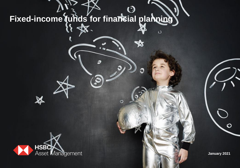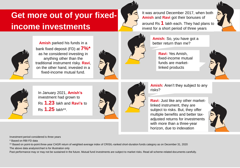# **Get more out of your fixedincome investments**



It was around December 2017, when both **Amish** and **Ravi** got their bonuses of around Rs **1** lakh each. They had plans to invest for a short period of three years





**Amish** parked his funds in a bank fixed deposit (FD) at **7%\***  as he considered investing in anything other than the traditional instrument risky. **Ravi**, on the other hand, invested in a fixed-income mutual fund.





**Amish:** So, you have got a better return than me?

**Ravi:** Yes Amish, fixed-income mutual funds are marketlinked products





In January 2021, **Amish's** investment had grown to Rs **1.23** lakh and **Ravi's** to Rs **1.25** lakh\*\*.



**Amish:** Aren't they subject to any risks?

**Ravi:** Just like any other marketlinked instrument, they are subject to risks. But, they offer multiple benefits and better taxadjusted returns for investments with more than a three-year horizon, due to indexation



Investment period considered is three years

\* Based on RBI FD data

\*\* Based on point-to-point three-year CAGR return of weighted-average index of CRISIL-ranked short-duration funds category as on December 31, 2020

The above data analysis/chart is for illustration only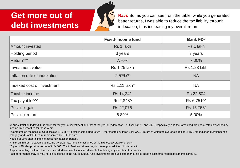# **Get more out of debt investments**



**Ravi:** So, as you can see from the table, while you generated better returns, I was able to reduce the tax liability through indexation, thus increasing my overall return

|                                              | <b>Fixed-income fund</b> | <b>Bank FD#</b>       |
|----------------------------------------------|--------------------------|-----------------------|
| <b>Amount invested</b>                       | Rs 1 lakh                | Rs 1 lakh             |
| Holding period                               | 3 years                  | 3 years               |
| Return***                                    | 7.70%                    | 7.00%                 |
| Investment value                             | <b>Rs 1.25 lakh</b>      | <b>Rs 1.23 lakh</b>   |
| Inflation rate of indexation                 | $2.57\%$ <sup>@</sup>    | <b>NA</b>             |
| Indexed cost of investment                   | Rs 1.11 lakh*            | <b>NA</b>             |
| Taxable income                               | Rs 14,241                | Rs 22,504             |
| Tax payable <sup><math>\sim\sim</math></sup> | Rs 2,848^                | Rs 6,751 <sup>™</sup> |
| Post-tax gain                                | Rs 22,076                | Rs 15,753#            |
| Post-tax return                              | 6.89%                    | 5.00%                 |

@ \*Cost Inflation Index (CII) is taken for the year of investment and that of the year of redemption, i.e. fiscals 2018 and 2021 respectively, and the rates used are actual rates prescribed by income tax authorities for these years.

\* Computed on the basis of CII (fiscals 2018-21) \*\*\* Fixed income fund return - Represented by three-year CAGR return of weighted average index of CRISIL ranked short duration funds category and Bank FD return represented by RBI FD data

^ taxed at 20% after taking into account indexation benefit.

 $\sim$  Tax on interest is payable at income tax slab rate; here it is assumed at the highest tax bracket of 30%.

# 5 years FD also provide tax benefit u/s 80C IT act. Post tax returns may increase post addition of this benefit.

As per prevailing tax laws. It is recommended to consult financial advisor before taking any investment decisions.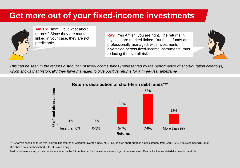# **Get more out of your fixed-income investments**



**Amish:** Hmm… but what about returns? Since they are marketlinked in your case, they are not predictable

**Ravi:** Yes Amish, you are right. The returns in my case are marked-linked. But these funds are professionally managed, with investments diversified across fixed-income instruments, thus reducing the overall risk



*This can be seen in the returns distribution of fixed-income funds (represented by the performance of short-duration category), which shows that historically they have managed to give positive returns for a three-year timeframe*



#### **Returns distribution of short-term debt funds\*\*\***

\*\*\* Analysis based on three-year daily rolling returns of weighted-average index of CRISIL-ranked short-duration funds category from April 1, 2002, to December 31, 2020. The above data analysis/chart is for illustration only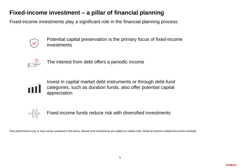## **Fixed-income investment – a pillar of financial planning**

Fixed-income investments play a significant role in the financial planning process:



Potential capital preservation is the primary focus of fixed-income investments



The interest from debt offers a periodic income



Invest in capital market debt instruments or through debt-fund categories, such as duration funds, also offer potential capital appreciation



Fixed-income funds reduce risk with diversified investments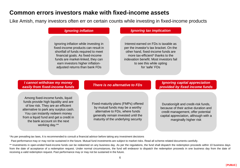#### **Common errors investors make with fixed-income assets**

Like Amish, many investors often err on certain counts while investing in fixed-income products

Ignoring inflation while investing in fixed-income products can result in shortfall of funds required to meet financial goals. As fixed-income funds are market-linked, they can earn investors higher inflationadjusted returns than bank FDs

#### *Ignoring inflation Ignoring tax implication*

Interest earned on FDs is taxable as per the investor's tax bracket. On the other hand, fixed-income funds are more tax-efficient\* thanks to the indexation benefit. Most investors fail to see this while opting for 'safe' FDs

#### *I cannot withdraw my money easily from fixed-income funds There is no alternative to FDs Ignoring capital appreciation*

Among fixed-income funds, liquid funds provide high liquidity and are of low risk. They are an efficient alternative to park any surplus cash. You can instantly redeem money from a liquid fund and get a credit in the bank account on the next working day.\*\*

Fixed-maturity plans (FMPs) offered by mutual funds may be a worthy alternative to FDs, where funds generally remain invested until the maturity of the underlying security

## *provided by fixed income funds*

Duration/gilt and credit-risk funds, because of their active duration and credit management, offer potential capital appreciation, although with a marginally higher risk

\*As per prevailing tax laws, It is recommended to consult a financial advisor before taking any investment decisions

Past performance may or may not be sustained in the future. Mutual fund investments are subject to market risks. Read all scheme-related documents carefully.

\*\* Investments in open-ended fixed-income funds can be redeemed on any business day. As per the regulations, the fund shall dispatch the redemption proceeds within 10 business days from the date of acceptance of a redemption request. Under normal circumstances, the fund will endeavor to dispatch the redemption proceeds in one business day from the date of receiving a valid redemption request. Past performance may or may not be sustained in the future.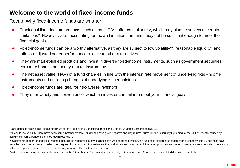#### **Welcome to the world of fixed-income funds**

Recap: Why fixed-income funds are smarter

- Traditional fixed-income products, such as bank FDs, offer capital safety, which may also be subject to certain limitations\*. However, after accounting for tax and inflation, the funds may not be sufficient enough to meet the financial goals
- Fixed-income funds can be a worthy alternative, as they are subject to low volatility\*\*, reasonable liquidity^ and inflation-adjusted better performance relative to other alternatives
- They are market-linked products and invest in diverse fixed-income instruments, such as government securities, corporate bonds and money-market instruments
- The net asset value (NAV) of a fund changes in line with the interest rate movement of underlying fixed-income instruments and on rating changes of underlying issuer holdings
- Fixed-income funds are ideal for risk-averse investors
- They offer variety and convenience, which an investor can tailor to meet your financial goals

\*Bank deposits are insured up to a maximum of Rs 5 lakh by the Deposit Insurance and Credit Guarantee Corporation (DICGC).

\*\* Despite low volatility, there have been some instances where liquid funds have given negative one-day returns, primarily due to liquidity tightening by the RBI or recently caused by liquidity concerns, pandemic and lockdown restrictions

^Investments in open-ended fixed-income funds can be redeemed in any business day. As per the regulations, the fund shall dispatch the redemption proceeds within 10 business days from the date of acceptance of redemption request. Under normal circumstances, the fund will endeavor to dispatch the redemption proceeds one business day from the date of receiving a valid redemption request. Past performance may or may not be sustained in the future.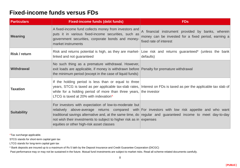#### **Fixed-income funds versus FDs**

| <b>Particulars</b> | <b>Fixed-income funds (debt funds)</b>                                                                                                                                                                   | <b>FDs</b>                                                                                                                                                                                                     |
|--------------------|----------------------------------------------------------------------------------------------------------------------------------------------------------------------------------------------------------|----------------------------------------------------------------------------------------------------------------------------------------------------------------------------------------------------------------|
| <b>Meaning</b>     | A fixed-income fund collects money from investors and<br>puts it in various fixed-income securities, such as<br>government securities, corporate bonds and money-<br>market instruments                  | A financial instrument provided by banks, wherein<br>money can be invested for a fixed period, earning a<br>fixed rate of interest                                                                             |
| Risk / return      | linked and not guaranteed                                                                                                                                                                                | Risk and returns potential is high, as they are market- Low risk and returns guaranteed* (unless the bank<br>defaults)                                                                                         |
| <b>Withdrawal</b>  | No such thing as a premature withdrawal. However,<br>exit loads are applicable, if money is withdrawn before Penalty for premature withdrawal<br>the minimum period (except in the case of liquid funds) |                                                                                                                                                                                                                |
| <b>Taxation</b>    | If the holding period is less than or equal to three<br>while for a holding period of more than three years, the investor<br>LTCG is taxed at 20% with indexation^                                       | years, STCG is taxed as per applicable tax-slab rates, Interest on FDs is taxed as per the applicable tax slab of                                                                                              |
| <b>Suitability</b> | For investors with expectation of low-to-moderate but<br>not wish their investments to subject to higher risk as in expenses<br>equities or other high-risk asset classes                                | relatively above-average returns compared with For investors with low risk appetite and who want<br>traditional savings alternative and, at the same time, do regular and guaranteed income to meet day-to-day |

^Tax surcharge applicable.

STCG stands for short-term capital gain tax

LTCG stands for long-term capital gain tax

\* Bank deposits are insured up to a maximum of Rs 5 lakh by the Deposit Insurance and Credit Guarantee Corporation (DICGC)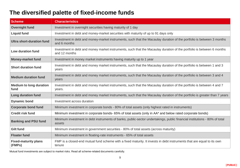## **The diversified palette of fixed-income funds**

| <b>Scheme</b>                          | <b>Characteristics</b>                                                                                                                 |
|----------------------------------------|----------------------------------------------------------------------------------------------------------------------------------------|
| <b>Overnight fund</b>                  | Investment in overnight securities having maturity of 1 day                                                                            |
| <b>Liquid fund</b>                     | Investment in debt and money-market securities with maturity of up to 91 days only                                                     |
| <b>Ultra short-duration fund</b>       | Investment in debt and money-market instruments, such that the Macaulay duration of the portfolio is between 3 months<br>and 6 months  |
| <b>Low duration fund</b>               | Investment in debt and money market instruments, such that the Macaulay duration of the portfolio is between 6 months<br>and 12 months |
| <b>Money-market fund</b>               | Investment in money market instruments having maturity up to 1 year                                                                    |
| <b>Short duration fund</b>             | Investment in debt and money market instruments, such that the Macaulay duration of the portfolio is between 1 and 3<br>years          |
| <b>Medium duration fund</b>            | Investment in debt and money market instruments, such that the Macaulay duration of the portfolio is between 3 and 4<br>years          |
| <b>Medium to long duration</b><br>fund | Investment in debt and money market instruments, such that the Macaulay duration of the portfolio is between 4 and 7<br>years.         |
| <b>Long duration fund</b>              | Investment in debt and money market Instruments, such that the Macaulay duration of the portfolio is greater than 7 years              |
| <b>Dynamic bond</b>                    | Investment across duration                                                                                                             |
| <b>Corporate bond fund</b>             | Minimum investment in corporate bonds - 80% of total assets (only highest rated in instruments)                                        |
| <b>Credit risk fund</b>                | Minimum investment in corporate bonds- 65% of total assets (only in AA* and below rated corporate bonds)                               |
| <b>Banking and PSU fund</b>            | Minimum investment in debt instruments of banks, public-sector undertakings, public financial institutions - 80% of total<br>assets    |
| <b>Gilt fund</b>                       | Minimum investment in government securities - 80% of total assets (across maturity)                                                    |
| <b>Floater fund</b>                    | Minimum investment in floating-rate instruments - 65% of total assets                                                                  |
| <b>Fixed-maturity plans</b><br>(FMPs)  | FMP is a closed-end mutual fund scheme with a fixed maturity. It invests in debt instruments that are equal to its own<br>tenure       |

Mutual fund investments are subject to market risks. Read all scheme-related documents carefully.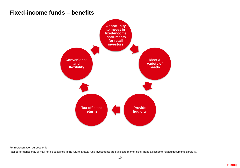#### **Fixed-income funds – benefits**



For representation purpose only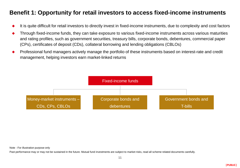### **Benefit 1: Opportunity for retail investors to access fixed-income instruments**

- It is quite difficult for retail investors to directly invest in fixed-income instruments, due to complexity and cost factors
- Through fixed-income funds, they can take exposure to various fixed-income instruments across various maturities and rating profiles, such as government securities, treasury bills, corporate bonds, debentures, commercial paper (CPs), certificates of deposit (CDs), collateral borrowing and lending obligations (CBLOs)
- Professional fund managers actively manage the portfolio of these instruments based on interest-rate and credit management, helping investors earn market-linked returns



Note - For illustration purpose only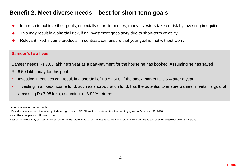#### **Benefit 2: Meet diverse needs – best for short-term goals**

- In a rush to achieve their goals, especially short-term ones, many investors take on risk by investing in equities
- This may result in a shortfall risk, if an investment goes awry due to short-term volatility
- Relevant fixed-income products, in contrast, can ensure that your goal is met without worry

#### **Sameer's two lives:**

Sameer needs Rs 7.08 lakh next year as a part-payment for the house he has booked. Assuming he has saved Rs 6.50 lakh today for this goal:

- Investing in equities can result in a shortfall of Rs 82,500, if the stock market falls 5% after a year
- Investing in a fixed-income fund, such as short-duration fund, has the potential to ensure Sameer meets his goal of amassing Rs 7.08 lakh, assuming a ~8.92% return\*

For representation purpose only.

\* Based on a one-year return of weighted-average index of CRISIL-ranked short-duration funds category as on December 31, 2020

Note: The example is for illustration only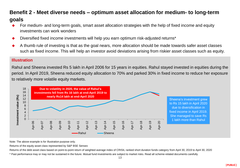#### **Benefit 2 - Meet diverse needs – optimum asset allocation for medium- to long-term**

#### **goals**

- For medium- and long-term goals, smart asset allocation strategies with the help of fixed income and equity investments can work wonders
- Diversified fixed income investments will help you earn optimum risk-adjusted returns\*
- A thumb rule of investing is that as the goal nears, more allocation should be made towards safer asset classes such as fixed income. This will help an investor avoid deviations arising from riskier asset classes such as equity.

#### **Illustration**

Rahul and Sheena invested Rs 5 lakh in April 2006 for 15 years in equities. Rahul stayed invested in equities during the period. In April 2019, Sheena reduced equity allocation to 70% and parked 30% in fixed income to reduce her exposure to relatively more volatile equity markets.



Note: The above example is for Illustration purpose only.

Returns of the equity asset class represented by S&P BSE Sensex

Returns of the debt asset class based on point-to-point return of weighted average index of CRISIL ranked short duration funds category from April 30, 2019 to April 30, 2020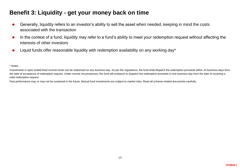## **Benefit 3: Liquidity - get your money back on time**

- Generally, liquidity refers to an investor's ability to sell the asset when needed, keeping in mind the costs associated with the transaction
- In the context of a fund, liquidity may refer to a fund's ability to meet your redemption request without affecting the interests of other investors
- Liquid funds offer reasonable liquidity with redemption availability on any working day\*

\* Notes -

Investments in open ended fixed income funds can be redeemed on any business day. As per the regulations, the fund shall dispatch the redemption proceeds within 10 business days from the date of acceptance of redemption request. Under normal circumstances, the fund will endeavor to dispatch the redemption proceeds in one business day from the date of receiving a valid redemption request.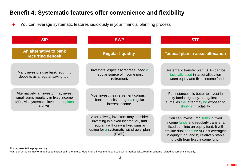## **Benefit 4: Systematic features offer convenience and flexibility**

You can leverage systematic features judiciously in your financial planning process

| <b>SIP</b>                                                                                                                       | <b>SWP</b>                                                                                                                                                                | <b>STP</b>                                                                                                                                                                                                                                     |
|----------------------------------------------------------------------------------------------------------------------------------|---------------------------------------------------------------------------------------------------------------------------------------------------------------------------|------------------------------------------------------------------------------------------------------------------------------------------------------------------------------------------------------------------------------------------------|
| An alternative to bank<br>recurring deposit                                                                                      | <b>Regular liquidity</b>                                                                                                                                                  | <b>Tactical plan in asset allocation</b>                                                                                                                                                                                                       |
| Many investors use bank recurring<br>deposits as a regular saving tool.                                                          | Investors, especially retirees, need a<br>regular source of income post<br>retirement.                                                                                    | Systematic transfer plan (STP) can be<br>tactically used in asset allocation<br>between equity and fixed income funds.                                                                                                                         |
| Alternatively, an investor may invest<br>small sums regularly in fixed income<br>MFs, via systematic investment plans<br>(SIPs). | Most invest their retirement corpus in<br>bank deposits and get a regular<br>interest income.                                                                             | For instance, it is better to invest in<br>equity funds regularly, as against lump<br>sums, as the latter may be exposed to<br>short-term volatility.                                                                                          |
|                                                                                                                                  | Alternatively, investors may consider<br>investing in a fixed income MF, and<br>regularly withdraw a fixed sum by<br>opting for a systematic withdrawal plan<br>$(SWP)$ . | You can invest lump sums in fixed<br>income funds and regularly transfer a<br>fixed sum into an equity fund. It will<br>provide dual benefits: a) Cost averaging<br>in equity fund; and b) relatively stable<br>growth from fixed income fund. |

For representation purpose only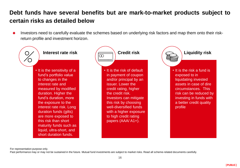## **Debt funds have several benefits but are mark-to-market products subject to certain risks as detailed below**

 Investors need to carefully evaluate the schemes based on underlying risk factors and map them onto their riskreturn profile and investment horizon.



For representation purpose only.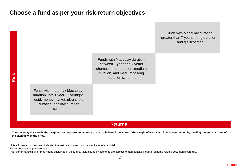#### **Choose a fund as per your risk-return objectives**



#### **Returns**

**The Macaulay duration is the weighted average term to maturity of the cash flows from a bond. The weight of each cash flow is determined by dividing the present value of the cash flow by the price.**

Note - Potential risk involved indicates interest rate risk and is not an indicator of credit risk

For representation purpose only.

Past performance may or may not be sustained in the future. Mutual fund investments are subject to market risks. Read all scheme-related documents carefully.

**|PUBLIC|**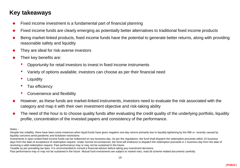## **Key takeaways**

- Fixed income investment is a fundamental part of financial planning
- Fixed income funds are clearly emerging as potentially better alternatives to traditional fixed income products
- Being market-linked products, fixed income funds have the potential to generate better returns, along with providing reasonable safety and liquidity
- They are ideal for risk-averse investors
- Their key benefits are:
	- Opportunity for retail investors to invest in fixed income instruments
	- Variety of options available; investors can choose as per their financial need
	- **Liquidity**
	- Tax efficiency
	- Convenience and flexibility
- However, as these funds are market-linked instruments, investors need to evaluate the risk associated with the category and map it with their own investment objective and risk-taking ability
- The need of the hour is to choose quality funds after evaluating the credit quality of the underlying portfolio, liquidity profile, concentration of the invested papers and consistency of the performance.

Notes -

Despite low volatility, there have been some instances when liquid funds have given negative one-day returns primarily due to liquidity tightening by the RBI or recently caused by liquidity concerns amid pandemic and lockdown restrictions

Investments in open ended fixed income funds can be redeemed on any business day. As per the regulations, the fund shall dispatch the redemption proceeds within 10 business days from the date of acceptance of redemption request. Under normal circumstances, the fund will endeavor to dispatch the redemption proceeds in 1 business day from the date of receiving a valid redemption request. Past performance may or may not be sustained in the future.

Taxable as per prevailing tax laws. It is recommended to consult a financial advisor before taking any investment decisions

Past performance may or may not be sustained in the future. Mutual fund investments are subject to market risks, read all scheme related documents carefully.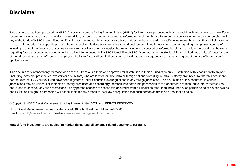#### **Disclaimer**

This document has been prepared by HSBC Asset Management (India) Private Limited (HSBC) for information purposes only and should not be construed as i) an offer or recommendation to buy or sell securities, commodities, currencies or other investments referred to herein; or ii) an offer to sell or a solicitation or an offer for purchase of any of the funds of HSBC Mutual Fund; or iii) an investment research or investment advice. It does not have regard to specific investment objectives, financial situation and the particular needs of any specific person who may receive this document. Investors should seek personal and independent advice regarding the appropriateness of investing in any of the funds, securities, other investment or investment strategies that may have been discussed or referred herein and should understand that the views regarding future prospects may or may not be realized. In no event shall HSBC Mutual Fund/HSBC Asset management (India) Private Limited and / or its affiliates or any of their directors, trustees, officers and employees be liable for any direct, indirect, special, incidental or consequential damages arising out of the use of information / opinion herein.

This document is intended only for those who access it from within India and approved for distribution in Indian jurisdiction only. Distribution of this document to anyone (including investors, prospective investors or distributors) who are located outside India or foreign nationals residing in India, is strictly prohibited. Neither this document nor the units of HSBC Mutual Fund have been registered under Securities law/Regulations in any foreign jurisdiction. The distribution of this document in certain jurisdictions may be unlawful or restricted or totally prohibited and accordingly, persons who come into possession of this document are required to inform themselves about, and to observe, any such restrictions. If any person chooses to access this document from a jurisdiction other than India, then such person do so at his/her own risk and HSBC and its group companies will not be liable for any breach of local law or regulation that such person commits as a result of doing so.

© Copyright. HSBC Asset Management (India) Private Limited 2021, ALL RIGHTS RESERVED.

HSBC Asset Management (India) Private Limited, 16, V.N. Road, Fort, Mumbai-400001 Email: [hsbcmf@camsonline.com](mailto:hsbcmf@camsonline.com) | Website: [www.assetmanagement.hsbc.com/in](http://www.assetmanagement.hsbc.com/in)

**Mutual fund investments are subject to market risks, read all scheme related documents carefully.**